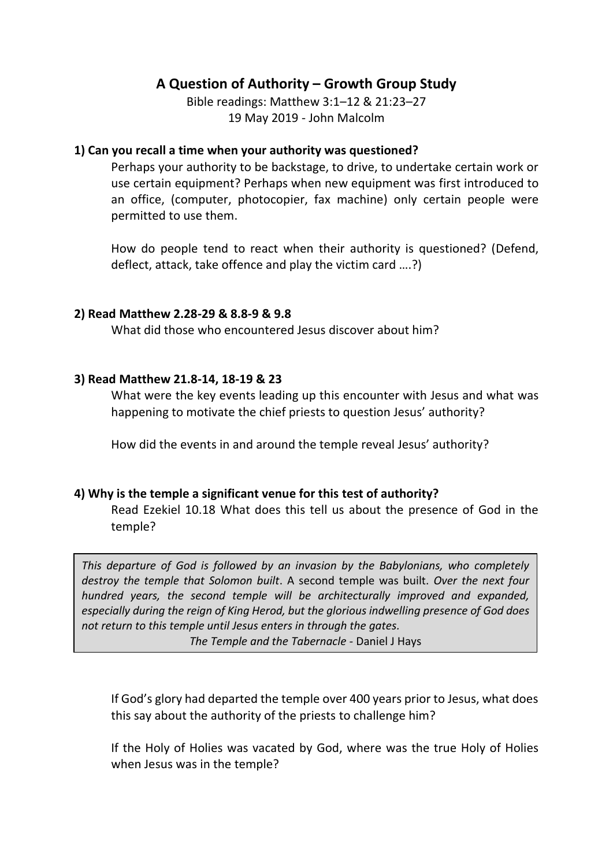# **A Question of Authority – Growth Group Study**

Bible readings: Matthew 3:1–12 & 21:23–27 19 May 2019 - John Malcolm

## **1) Can you recall a time when your authority was questioned?**

Perhaps your authority to be backstage, to drive, to undertake certain work or use certain equipment? Perhaps when new equipment was first introduced to an office, (computer, photocopier, fax machine) only certain people were permitted to use them.

How do people tend to react when their authority is questioned? (Defend, deflect, attack, take offence and play the victim card ….?)

### **2) Read Matthew 2.28-29 & 8.8-9 & 9.8**

What did those who encountered Jesus discover about him?

### **3) Read Matthew 21.8-14, 18-19 & 23**

What were the key events leading up this encounter with Jesus and what was happening to motivate the chief priests to question Jesus' authority?

How did the events in and around the temple reveal Jesus' authority?

## **4) Why is the temple a significant venue for this test of authority?**

Read Ezekiel 10.18 What does this tell us about the presence of God in the temple?

*This departure of God is followed by an invasion by the Babylonians, who completely destroy the temple that Solomon built*. A second temple was built. *Over the next four hundred years, the second temple will be architecturally improved and expanded, especially during the reign of King Herod, but the glorious indwelling presence of God does not return to this temple until Jesus enters in through the gates.*

*The Temple and the Tabernacle -* Daniel J Hays

If God's glory had departed the temple over 400 years prior to Jesus, what does this say about the authority of the priests to challenge him?

If the Holy of Holies was vacated by God, where was the true Holy of Holies when Jesus was in the temple?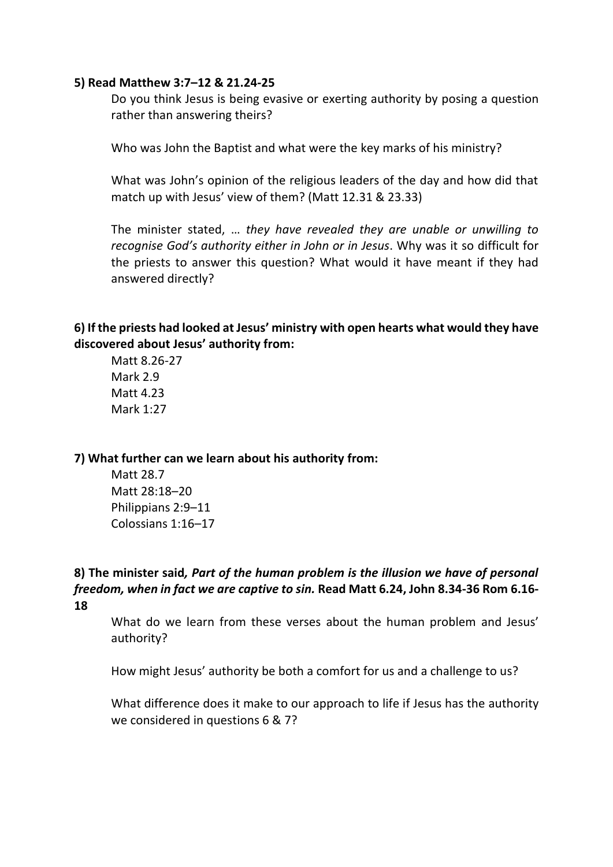#### **5) Read Matthew 3:7–12 & 21.24-25**

Do you think Jesus is being evasive or exerting authority by posing a question rather than answering theirs?

Who was John the Baptist and what were the key marks of his ministry?

What was John's opinion of the religious leaders of the day and how did that match up with Jesus' view of them? (Matt 12.31 & 23.33)

The minister stated, … *they have revealed they are unable or unwilling to recognise God's authority either in John or in Jesus*. Why was it so difficult for the priests to answer this question? What would it have meant if they had answered directly?

# **6) If the priests had looked at Jesus' ministry with open hearts what would they have discovered about Jesus' authority from:**

Matt 8.26-27 Mark 2.9 Matt 4.23 Mark 1:27

**7) What further can we learn about his authority from:** 

Matt 28.7 Matt 28:18–20 Philippians 2:9–11 Colossians 1:16–17

**8) The minister said***, Part of the human problem is the illusion we have of personal freedom, when in fact we are captive to sin.* **Read Matt 6.24, John 8.34-36 Rom 6.16- 18**

What do we learn from these verses about the human problem and Jesus' authority?

How might Jesus' authority be both a comfort for us and a challenge to us?

What difference does it make to our approach to life if Jesus has the authority we considered in questions 6 & 7?